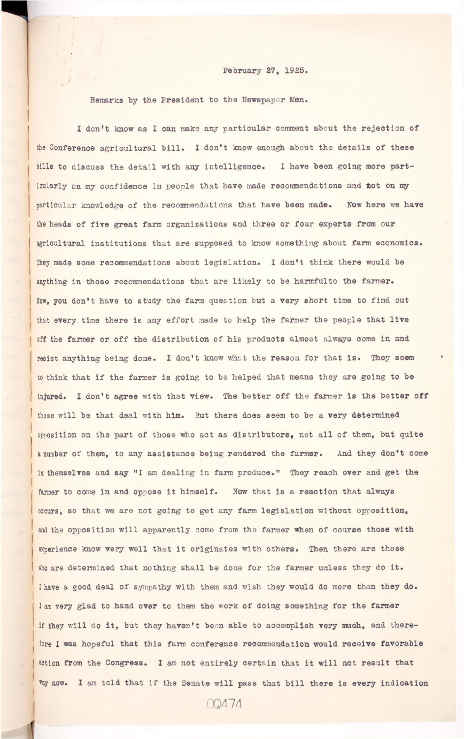## **February 27, 1925.**

**Remarks by the President to the Newspaper Men.** 

I don't know as I can make any particular comment about the rejection of the Conference agricultural bill. I don't know enough about the details of these bills to discuss the detail with any intelligence. I have been going more particularly on my confidence in people that have made recommendations and not on my **particular knowledge of the recommendations that have been made. Now here we have**  the heads of five great farm organizations and three or four experts from our agricultural institutions that are supposed to know something about farm economics. **They made some recommendations about legislation . I don't think there would be**  anything in those recommendations that are likely to be harmfulto the farmer. Now, you don't have to study the farm question but a very short time to find out that every time there is any effort made to help the farmer the people that live off the farmer or off the distribution of his products almost always come in and resist anything being done. I don't know what the reason for that is. They seem to think that if the farmer is going to be helped that means they are going to be injured. I don't agree with that view. The better off the farmer is the better off those will be that deal with him. But there does seem to be a very determined **opposition on the part of those who act as distributors, not all of them, but quite** a number of them, to any assistance being rendered the farmer. And they don't come in themselves and say "I am dealing in farm produce." They reach over and get the farmer to come in and oppose it himself. Now that is a reaction that always occurs, so that we are not going to get any farm legislation without opposition, and the opposition will apparently come from the farmer when of course those with experience know very well that it originates with others. Then there are those

who are determined that nothing shall be done for the farmer unless they do it. **I have a good deal of sympathy with them and wish they would do more than they do.**  I am very glad to hand over to them the work of doing something for the farmer if they will do it, but they haven't been able to accomplish very much, and therefore I was hopeful that this farm conference recommendation would receive favorable action from the Congress. I am not entirely certain that it will not result that Way now. I am told that if the Senate will pass that bill there is every indication 00474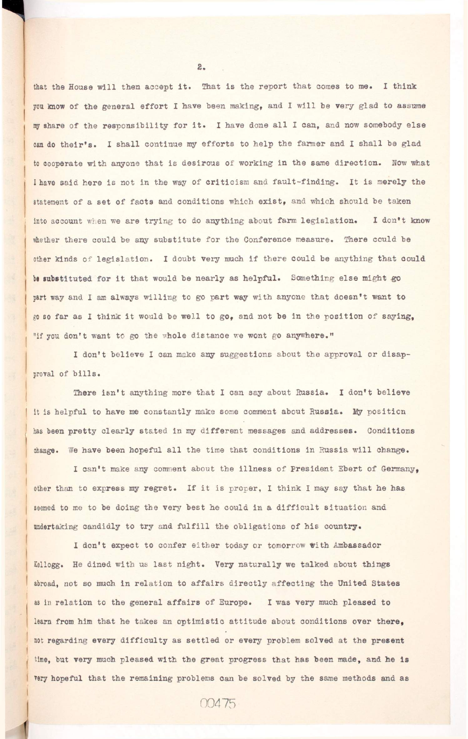that the House will then accept it. That is the report that comes to me. I think you know of the general effort I have been making, and I will be very glad to assume my share of the responsibility for it. I have done all I can, and now somebody else can do their's. I shall continue my efforts to help the farmer and I shall be glad to cooperate with anyone that is desirous of working in the same direction. Now what I have said here is not in the way of criticism and fault-finding. It is merely the statement of a set of facts and conditions which exist, and which should be taken into account when we are trying to do anything about farm legislation. I don't know whether there could be any substitute for the Conference measure. There could be other kinds of legislation. I doubt very much if there could be anything that could be substituted for it that would be nearly as helpful. Something else might go part way and I am always willing to go part way with anyone that doesn't want to go so far as I think it would be well to go, and not be in the position of saying, "if you don't want to go the whole distance we wont go anywhere."

I don't believe I can make any suggestions about the approval or disap**proval of bills .** 

There isn't anything more that I can say about Russia. I don't believe it is helpful to have me constantly make some comment about Russia. My position has been pretty clearly stated in my different messages and addresses. Conditions change. We have been hopeful all the time that conditions in Russia will change.

I can't make any comment about the illness of President Ebert of Germany, **other than to express my regret. I f i t i s proper, 1 think I may say that he has**  seemed to me to be doing the very best he could in a difficult situation and undertaking candidly to try and fulfill the obligations of his country.

**I don't expect to confer either today or tomorrow with Ambassador**  Kellogg. He dined with us last night. Very naturally we talked about things abroad, not so much in relation to affairs directly affecting the United States as in relation to the general affairs of Europe. I was very much pleased to **learn from him that he takes an optimistic attitude about conditions over there,**  not regarding every difficulty as settled or every problem solved at the present time, but very much pleased with the great progress that has been made, and he is **very hopeful that the remaining problems can be solved by the same methods and as** 

 $2.$ 

00475